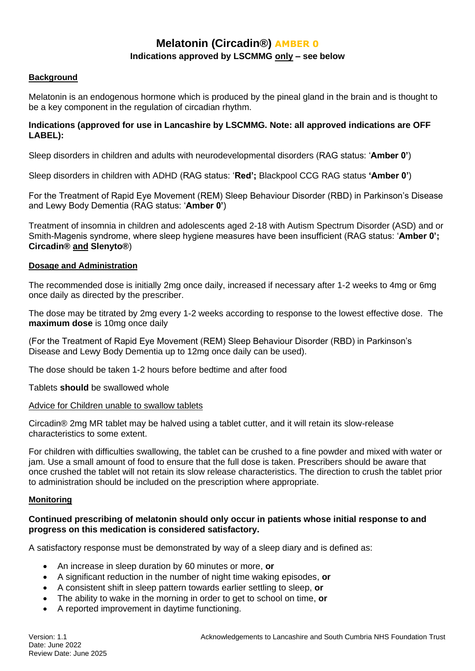# **Melatonin (Circadin®) AMBER 0 Indications approved by LSCMMG only – see below**

# **Background**

Melatonin is an endogenous hormone which is produced by the pineal gland in the brain and is thought to be a key component in the regulation of circadian rhythm.

# **Indications (approved for use in Lancashire by LSCMMG. Note: all approved indications are OFF LABEL):**

Sleep disorders in children and adults with neurodevelopmental disorders (RAG status: '**Amber 0'**)

Sleep disorders in children with ADHD (RAG status: '**Red';** Blackpool CCG RAG status **'Amber 0'**)

For the Treatment of Rapid Eye Movement (REM) Sleep Behaviour Disorder (RBD) in Parkinson's Disease and Lewy Body Dementia (RAG status: '**Amber 0'**)

Treatment of insomnia in children and adolescents aged 2-18 with Autism Spectrum Disorder (ASD) and or Smith-Magenis syndrome, where sleep hygiene measures have been insufficient (RAG status: '**Amber 0'; Circadin® and Slenyto®**)

## **Dosage and Administration**

The recommended dose is initially 2mg once daily, increased if necessary after 1-2 weeks to 4mg or 6mg once daily as directed by the prescriber.

The dose may be titrated by 2mg every 1-2 weeks according to response to the lowest effective dose. The **maximum dose** is 10mg once daily

(For the Treatment of Rapid Eye Movement (REM) Sleep Behaviour Disorder (RBD) in Parkinson's Disease and Lewy Body Dementia up to 12mg once daily can be used).

The dose should be taken 1-2 hours before bedtime and after food

Tablets **should** be swallowed whole

## Advice for Children unable to swallow tablets

Circadin® 2mg MR tablet may be halved using a tablet cutter, and it will retain its slow-release characteristics to some extent.

For children with difficulties swallowing, the tablet can be crushed to a fine powder and mixed with water or jam. Use a small amount of food to ensure that the full dose is taken. Prescribers should be aware that once crushed the tablet will not retain its slow release characteristics. The direction to crush the tablet prior to administration should be included on the prescription where appropriate.

## **Monitoring**

## **Continued prescribing of melatonin should only occur in patients whose initial response to and progress on this medication is considered satisfactory.**

A satisfactory response must be demonstrated by way of a sleep diary and is defined as:

- An increase in sleep duration by 60 minutes or more, **or**
- A significant reduction in the number of night time waking episodes, **or**
- A consistent shift in sleep pattern towards earlier settling to sleep, **or**
- The ability to wake in the morning in order to get to school on time, **or**
- A reported improvement in daytime functioning.